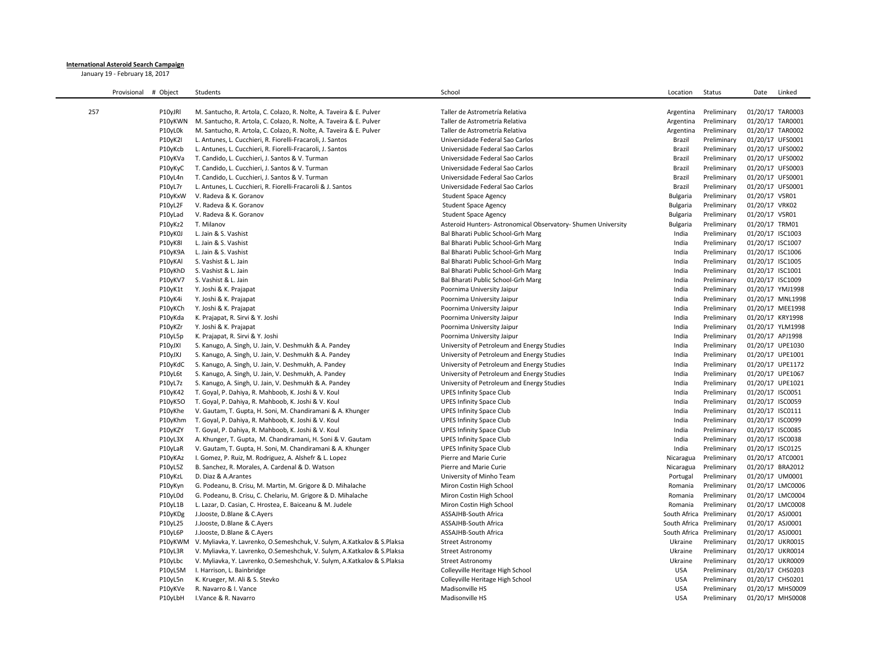## **International Asteroid Search Campaign**

January 19 - February 18, 2017

|     | Provisional | # Object | Students                                                                                                   | School                                                      | Location        | Status                   | Date                                 | Linked           |
|-----|-------------|----------|------------------------------------------------------------------------------------------------------------|-------------------------------------------------------------|-----------------|--------------------------|--------------------------------------|------------------|
|     |             |          |                                                                                                            |                                                             |                 |                          |                                      |                  |
| 257 |             | P10yJRI  | M. Santucho, R. Artola, C. Colazo, R. Nolte, A. Taveira & E. Pulver                                        | Taller de Astrometría Relativa                              | Argentina       | Preliminary              | 01/20/17 TAR0003                     |                  |
|     |             | P10yKWN  | M. Santucho, R. Artola, C. Colazo, R. Nolte, A. Taveira & E. Pulver                                        | Taller de Astrometría Relativa                              | Argentina       | Preliminary              | 01/20/17 TAR0001                     |                  |
|     |             | P10yL0k  | M. Santucho, R. Artola, C. Colazo, R. Nolte, A. Taveira & E. Pulver                                        | Taller de Astrometría Relativa                              | Argentina       | Preliminary              | 01/20/17 TAR0002                     |                  |
|     |             | P10yK2I  | L. Antunes, L. Cucchieri, R. Fiorelli-Fracaroli, J. Santos                                                 | Universidade Federal Sao Carlos                             | Brazil          | Preliminary              | 01/20/17 UFS0001                     |                  |
|     |             | P10yKcb  | L. Antunes, L. Cucchieri, R. Fiorelli-Fracaroli, J. Santos                                                 | Universidade Federal Sao Carlos                             | Brazil          | Preliminary              | 01/20/17 UFS0002                     |                  |
|     |             | P10yKVa  | T. Candido, L. Cucchieri, J. Santos & V. Turman                                                            | Universidade Federal Sao Carlos                             | Brazil          | Preliminary              | 01/20/17 UFS0002                     |                  |
|     |             | P10yKyC  | T. Candido, L. Cucchieri, J. Santos & V. Turman                                                            | Universidade Federal Sao Carlos                             | Brazil          | Preliminary              | 01/20/17 UFS0003                     |                  |
|     |             | P10yL4n  | T. Candido, L. Cucchieri, J. Santos & V. Turman                                                            | Universidade Federal Sao Carlos                             | Brazil          | Preliminary              | 01/20/17 UFS0001                     |                  |
|     |             | P10yL7r  | L. Antunes, L. Cucchieri, R. Fiorelli-Fracaroli & J. Santos                                                | Universidade Federal Sao Carlos                             | Brazil          | Preliminary              | 01/20/17 UFS0001                     |                  |
|     |             | P10yKxW  | V. Radeva & K. Goranov                                                                                     | <b>Student Space Agency</b>                                 | <b>Bulgaria</b> | Preliminary              | 01/20/17 VSR01                       |                  |
|     |             | P10yL2F  | V. Radeva & K. Goranov                                                                                     | <b>Student Space Agency</b>                                 | Bulgaria        | Preliminary              | 01/20/17 VRK02                       |                  |
|     |             | P10yLad  | V. Radeva & K. Goranov                                                                                     | <b>Student Space Agency</b>                                 | <b>Bulgaria</b> | Preliminary              | 01/20/17 VSR01                       |                  |
|     |             | P10yKz2  | T. Milanov                                                                                                 | Asteroid Hunters-Astronomical Observatory-Shumen University | <b>Bulgaria</b> | Preliminary              | 01/20/17 TRM01                       |                  |
|     |             | P10yK0J  | L. Jain & S. Vashist                                                                                       | Bal Bharati Public School-Grh Marg                          | India           | Preliminary              | 01/20/17 ISC1003                     |                  |
|     |             | P10yK8I  | L. Jain & S. Vashist                                                                                       | Bal Bharati Public School-Grh Marg                          | India           | Preliminary              | 01/20/17 ISC1007                     |                  |
|     |             | P10yK9A  | L. Jain & S. Vashist                                                                                       | Bal Bharati Public School-Grh Marg                          | India           | Preliminary              | 01/20/17 ISC1006                     |                  |
|     |             | P10yKAI  | S. Vashist & L. Jain                                                                                       | Bal Bharati Public School-Grh Marg                          | India           | Preliminary              | 01/20/17 ISC1005                     |                  |
|     |             | P10yKhD  | S. Vashist & L. Jain                                                                                       | Bal Bharati Public School-Grh Marg                          | India           | Preliminary              | 01/20/17 ISC1001                     |                  |
|     |             | P10yKV7  | S. Vashist & L. Jain                                                                                       | Bal Bharati Public School-Grh Marg                          | India           | Preliminary              | 01/20/17 ISC1009                     |                  |
|     |             | P10yK1t  | Y. Joshi & K. Prajapat                                                                                     | Poornima University Jaipur                                  | India           | Preliminary              | 01/20/17 YMJ1998                     |                  |
|     |             | P10yK4i  | Y. Joshi & K. Prajapat                                                                                     | Poornima University Jaipur                                  | India           | Preliminary              |                                      | 01/20/17 MNL1998 |
|     |             | P10yKCh  | Y. Joshi & K. Prajapat                                                                                     | Poornima University Jaipur                                  | India           | Preliminary              |                                      | 01/20/17 MEE1998 |
|     |             | P10yKda  | K. Prajapat, R. Sirvi & Y. Joshi                                                                           | Poornima University Jaipur                                  | India           | Preliminary              | 01/20/17 KRY1998                     |                  |
|     |             | P10yKZr  | Y. Joshi & K. Prajapat                                                                                     | Poornima University Jaipur                                  | India           | Preliminary              |                                      | 01/20/17 YLM1998 |
|     |             | P10yL5p  | K. Prajapat, R. Sirvi & Y. Joshi                                                                           | Poornima University Jaipur                                  | India           | Preliminary              | 01/20/17 APJ1998                     |                  |
|     |             | P10yJXI  | S. Kanugo, A. Singh, U. Jain, V. Deshmukh & A. Pandey                                                      | University of Petroleum and Energy Studies                  | India           | Preliminary              | 01/20/17 UPE1030                     |                  |
|     |             | P10yJXJ  | S. Kanugo, A. Singh, U. Jain, V. Deshmukh & A. Pandey                                                      | University of Petroleum and Energy Studies                  | India           | Preliminary              | 01/20/17 UPE1001                     |                  |
|     |             | P10yKdC  | S. Kanugo, A. Singh, U. Jain, V. Deshmukh, A. Pandey                                                       | University of Petroleum and Energy Studies                  | India           | Preliminary              | 01/20/17 UPE1172                     |                  |
|     |             | P10yL6t  | S. Kanugo, A. Singh, U. Jain, V. Deshmukh, A. Pandey                                                       | University of Petroleum and Energy Studies                  | India           | Preliminary              | 01/20/17 UPE1067                     |                  |
|     |             | P10yL7z  | S. Kanugo, A. Singh, U. Jain, V. Deshmukh & A. Pandey                                                      | University of Petroleum and Energy Studies                  | India           | Preliminary              | 01/20/17 UPE1021                     |                  |
|     |             | P10yK42  |                                                                                                            | <b>UPES Infinity Space Club</b>                             | India           | Preliminary              | 01/20/17 ISC0051                     |                  |
|     |             | P10yK5O  | T. Goyal, P. Dahiya, R. Mahboob, K. Joshi & V. Koul<br>T. Goyal, P. Dahiya, R. Mahboob, K. Joshi & V. Koul | <b>UPES Infinity Space Club</b>                             | India           | Preliminary              | 01/20/17 ISC0059                     |                  |
|     |             | P10yKhe  | V. Gautam, T. Gupta, H. Soni, M. Chandiramani & A. Khunger                                                 | <b>UPES Infinity Space Club</b>                             | India           | Preliminary              | 01/20/17 ISC0111                     |                  |
|     |             |          |                                                                                                            |                                                             | India           |                          |                                      |                  |
|     |             | P10yKhm  | T. Goyal, P. Dahiya, R. Mahboob, K. Joshi & V. Koul                                                        | <b>UPES Infinity Space Club</b>                             | India           | Preliminary              | 01/20/17 ISC0099<br>01/20/17 ISC0085 |                  |
|     |             | P10yKZY  | T. Goyal, P. Dahiya, R. Mahboob, K. Joshi & V. Koul                                                        | <b>UPES Infinity Space Club</b>                             |                 | Preliminary              |                                      |                  |
|     |             | P10yL3X  | A. Khunger, T. Gupta, M. Chandiramani, H. Soni & V. Gautam                                                 | <b>UPES Infinity Space Club</b>                             | India           | Preliminary              | 01/20/17 ISC0038                     |                  |
|     |             | P10yLaR  | V. Gautam, T. Gupta, H. Soni, M. Chandiramani & A. Khunger                                                 | <b>UPES Infinity Space Club</b>                             | India           | Preliminary              | 01/20/17 ISC0125                     |                  |
|     |             | P10yKAz  | I. Gomez, P. Ruiz, M. Rodriguez, A. Alshefr & L. Lopez                                                     | Pierre and Marie Curie                                      | Nicaragua       | Preliminary              | 01/20/17 ATC0001                     |                  |
|     |             | P10yL5Z  | B. Sanchez, R. Morales, A. Cardenal & D. Watson                                                            | Pierre and Marie Curie                                      | Nicaragua       | Preliminary              | 01/20/17 BRA2012                     |                  |
|     |             | P10yKzL  | D. Diaz & A. Arantes                                                                                       | University of Minho Team                                    | Portugal        | Preliminary              | 01/20/17 UM0001                      |                  |
|     |             | P10yKyn  | G. Podeanu, B. Crisu, M. Martin, M. Grigore & D. Mihalache                                                 | Miron Costin High School                                    | Romania         | Preliminary              |                                      | 01/20/17 LMC0006 |
|     |             | P10yL0d  | G. Podeanu, B. Crisu, C. Chelariu, M. Grigore & D. Mihalache                                               | Miron Costin High School                                    | Romania         | Preliminary              |                                      | 01/20/17 LMC0004 |
|     |             | P10yL1B  | L. Lazar, D. Casian, C. Hrostea, E. Baiceanu & M. Judele                                                   | Miron Costin High School                                    | Romania         | Preliminary              |                                      | 01/20/17 LMC0008 |
|     |             | P10yKDg  | J.Jooste, D.Blane & C.Ayers                                                                                | ASSAJHB-South Africa                                        | South Africa    | Preliminary              | 01/20/17 ASJ0001                     |                  |
|     |             | P10yL25  | J.Jooste, D.Blane & C.Ayers                                                                                | ASSAJHB-South Africa                                        |                 | South Africa Preliminary | 01/20/17 ASJ0001                     |                  |
|     |             | P10yL6P  | J.Jooste, D.Blane & C.Ayers                                                                                | ASSAJHB-South Africa                                        | South Africa    | Preliminary              | 01/20/17 ASJ0001                     |                  |
|     |             |          | P10yKWM V. Myliavka, Y. Lavrenko, O.Semeshchuk, V. Sulym, A.Katkalov & S.Plaksa                            | <b>Street Astronomy</b>                                     | Ukraine         | Preliminary              | 01/20/17 UKR0015                     |                  |
|     |             | P10yL3R  | V. Myliavka, Y. Lavrenko, O. Semeshchuk, V. Sulym, A. Katkalov & S. Plaksa                                 | Street Astronomy                                            | Ukraine         | Preliminary              | 01/20/17 UKR0014                     |                  |
|     |             | P10yLbc  | V. Myliavka, Y. Lavrenko, O.Semeshchuk, V. Sulym, A.Katkalov & S.Plaksa                                    | <b>Street Astronomy</b>                                     | Ukraine         | Preliminary              |                                      | 01/20/17 UKR0009 |
|     |             | P10yL5M  | I. Harrison, L. Bainbridge                                                                                 | Colleyville Heritage High School                            | <b>USA</b>      | Preliminary              | 01/20/17 CHS0203                     |                  |
|     |             | P10yL5n  | K. Krueger, M. Ali & S. Stevko                                                                             | Colleyville Heritage High School                            | <b>USA</b>      | Preliminary              | 01/20/17 CHS0201                     |                  |
|     |             | P10yKVe  | R. Navarro & I. Vance                                                                                      | Madisonville HS                                             | <b>USA</b>      | Preliminary              |                                      | 01/20/17 MHS0009 |
|     |             | P10yLbH  | I.Vance & R. Navarro                                                                                       | Madisonville HS                                             | <b>USA</b>      | Preliminary              |                                      | 01/20/17 MHS0008 |
|     |             |          |                                                                                                            |                                                             |                 |                          |                                      |                  |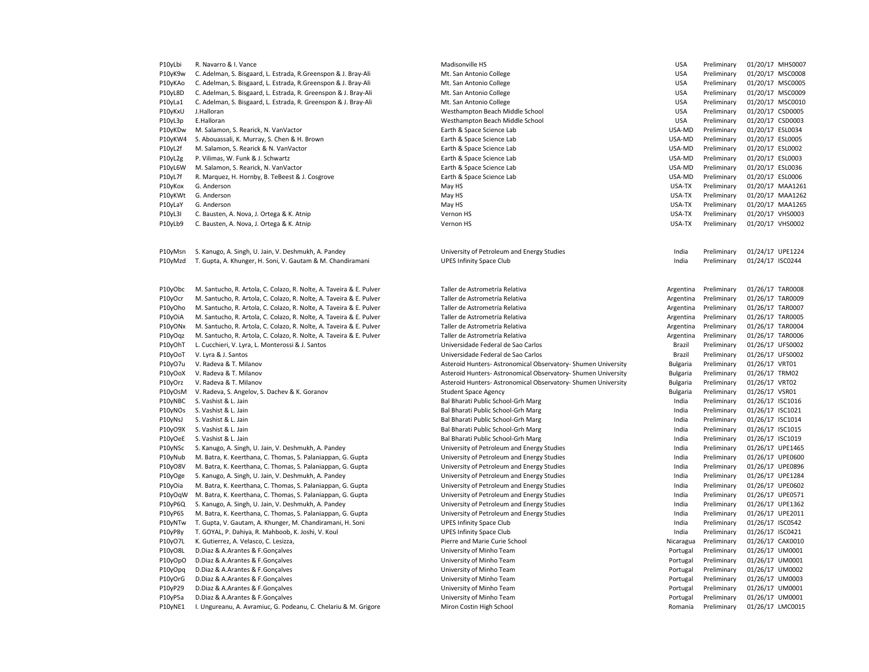| P10yLbi            | R. Navarro & I. Vance                                                                                              | Madisonville HS                                                               | <b>USA</b>       | Preliminary                | 01/20/17 MHS0007                     |
|--------------------|--------------------------------------------------------------------------------------------------------------------|-------------------------------------------------------------------------------|------------------|----------------------------|--------------------------------------|
| P10yK9w            | C. Adelman, S. Bisgaard, L. Estrada, R. Greenspon & J. Bray-Ali                                                    | Mt. San Antonio College                                                       | <b>USA</b>       | Preliminary                | 01/20/17 MSC0008                     |
| P10yKAo            | C. Adelman, S. Bisgaard, L. Estrada, R. Greenspon & J. Bray-Ali                                                    | Mt. San Antonio College                                                       | <b>USA</b>       | Preliminary                | 01/20/17 MSC0005                     |
| P10yL8D            | C. Adelman, S. Bisgaard, L. Estrada, R. Greenspon & J. Bray-Ali                                                    | Mt. San Antonio College                                                       | <b>USA</b>       | Preliminary                | 01/20/17 MSC0009                     |
| P10yLa1            | C. Adelman, S. Bisgaard, L. Estrada, R. Greenspon & J. Bray-Ali                                                    | Mt. San Antonio College                                                       | <b>USA</b>       | Preliminary                | 01/20/17 MSC0010                     |
| P10yKxU            | J.Halloran                                                                                                         | Westhampton Beach Middle School                                               | <b>USA</b>       | Preliminary                | 01/20/17 CSD0005                     |
| P10yL3p            | E.Halloran                                                                                                         | Westhampton Beach Middle School                                               | <b>USA</b>       | Preliminary                | 01/20/17 CSD0003                     |
| P10yKDw            | M. Salamon, S. Rearick, N. VanVactor                                                                               | Earth & Space Science Lab                                                     | USA-MD           | Preliminary                | 01/20/17 ESL0034                     |
| P10yKW4            | S. Abouassali, K. Murray, S. Chen & H. Brown                                                                       | Earth & Space Science Lab                                                     | USA-MD           | Preliminary                | 01/20/17 ESL0005                     |
| P10yL2f            | M. Salamon, S. Rearick & N. VanVactor                                                                              | Earth & Space Science Lab                                                     | USA-MD           | Preliminary                | 01/20/17 ESL0002                     |
| P10yL2g            | P. Vilimas, W. Funk & J. Schwartz                                                                                  | Earth & Space Science Lab                                                     | USA-MD           | Preliminary                | 01/20/17 ESL0003                     |
| P10yL6W            | M. Salamon, S. Rearick, N. VanVactor                                                                               | Earth & Space Science Lab                                                     | USA-MD           | Preliminary                | 01/20/17 ESL0036                     |
| P10yL7f            | R. Marquez, H. Hornby, B. TeBeest & J. Cosgrove                                                                    | Earth & Space Science Lab                                                     | USA-MD           | Preliminary                | 01/20/17 ESL0006                     |
| P10yKox            | G. Anderson                                                                                                        | May HS                                                                        | USA-TX           | Preliminary                | 01/20/17 MAA1261                     |
| P10yKWt            | G. Anderson                                                                                                        | May HS                                                                        | USA-TX           | Preliminary                | 01/20/17 MAA1262                     |
| P10yLaY            | G. Anderson                                                                                                        | May HS                                                                        | USA-TX           | Preliminary                | 01/20/17 MAA1265                     |
| P10yL3I            | C. Bausten, A. Nova, J. Ortega & K. Atnip                                                                          | Vernon HS                                                                     | USA-TX           | Preliminary                | 01/20/17 VHS0003                     |
| P10yLb9            | C. Bausten, A. Nova, J. Ortega & K. Atnip                                                                          | Vernon HS                                                                     | USA-TX           | Preliminary                | 01/20/17 VHS0002                     |
| P10yMsn<br>P10yMzd | S. Kanugo, A. Singh, U. Jain, V. Deshmukh, A. Pandey<br>T. Gupta, A. Khunger, H. Soni, V. Gautam & M. Chandiramani | University of Petroleum and Energy Studies<br><b>UPES Infinity Space Club</b> | India<br>India   | Preliminary<br>Preliminary | 01/24/17 UPE1224<br>01/24/17 ISC0244 |
| P10yObc            | M. Santucho, R. Artola, C. Colazo, R. Nolte, A. Taveira & E. Pulver                                                | Taller de Astrometría Relativa                                                | Argentina        | Preliminary                | 01/26/17 TAR0008                     |
| P10yOcr            | M. Santucho, R. Artola, C. Colazo, R. Nolte, A. Taveira & E. Pulver                                                | Taller de Astrometría Relativa                                                | Argentina        | Preliminary                | 01/26/17 TAR0009                     |
| P10yOho            | M. Santucho, R. Artola, C. Colazo, R. Nolte, A. Taveira & E. Pulver                                                | Taller de Astrometría Relativa                                                | Argentina        | Preliminary                | 01/26/17 TAR0007                     |
| P10yOiA            | M. Santucho, R. Artola, C. Colazo, R. Nolte, A. Taveira & E. Pulver                                                | Taller de Astrometría Relativa                                                | Argentina        | Preliminary                | 01/26/17 TAR0005                     |
| P10yONx            | M. Santucho, R. Artola, C. Colazo, R. Nolte, A. Taveira & E. Pulver                                                | Taller de Astrometría Relativa                                                | Argentina        | Preliminary                | 01/26/17 TAR0004                     |
| P10yOqz            | M. Santucho, R. Artola, C. Colazo, R. Nolte, A. Taveira & E. Pulver                                                | Taller de Astrometría Relativa                                                | Argentina        | Preliminary                | 01/26/17 TAR0006                     |
|                    |                                                                                                                    |                                                                               |                  |                            |                                      |
| P10yOhT            | L. Cucchieri, V. Lyra, L. Monterossi & J. Santos                                                                   | Universidade Federal de Sao Carlos<br>Universidade Federal de Sao Carlos      | Brazil<br>Brazil | Preliminary<br>Preliminary | 01/26/17 UFS0002<br>01/26/17 UFS0002 |
| P10yOoT            | V. Lyra & J. Santos                                                                                                |                                                                               |                  |                            |                                      |
| P10yO7u            | V. Radeva & T. Milanov                                                                                             | Asteroid Hunters- Astronomical Observatory- Shumen University                 | Bulgaria         | Preliminary                | 01/26/17 VRT01                       |
| P10yOoX            | V. Radeva & T. Milanov                                                                                             | Asteroid Hunters- Astronomical Observatory- Shumen University                 | <b>Bulgaria</b>  | Preliminary                | 01/26/17 TRM02                       |
| P10yOrz            | V. Radeva & T. Milanov                                                                                             | Asteroid Hunters- Astronomical Observatory- Shumen University                 | Bulgaria         | Preliminary                | 01/26/17 VRT02                       |
| P10yOsM            | V. Radeva, S. Angelov, S. Dachev & K. Goranov                                                                      | <b>Student Space Agency</b>                                                   | <b>Bulgaria</b>  | Preliminary                | 01/26/17 VSR01                       |
| P10yNBC            | S. Vashist & L. Jain                                                                                               | Bal Bharati Public School-Grh Marg                                            | India            | Preliminary                | 01/26/17 ISC1016                     |
| P10yNOs            | S. Vashist & L. Jain                                                                                               | Bal Bharati Public School-Grh Marg                                            | India            | Preliminary                | 01/26/17 ISC1021                     |
| P10yNsJ            | S. Vashist & L. Jain                                                                                               | Bal Bharati Public School-Grh Marg                                            | India            | Preliminary                | 01/26/17 ISC1014                     |
| P10yO9X            | S. Vashist & L. Jain                                                                                               | Bal Bharati Public School-Grh Marg                                            | India            | Preliminary                | 01/26/17 ISC1015                     |
| P10yOeE            | S. Vashist & L. Jain                                                                                               | Bal Bharati Public School-Grh Marg                                            | India            | Preliminary                | 01/26/17 ISC1019                     |
| P10yNSc            | S. Kanugo, A. Singh, U. Jain, V. Deshmukh, A. Pandey                                                               | University of Petroleum and Energy Studies                                    | India            | Preliminary                | 01/26/17 UPE1465                     |
| P10yNub            | M. Batra, K. Keerthana, C. Thomas, S. Palaniappan, G. Gupta                                                        | University of Petroleum and Energy Studies                                    | India            | Preliminary                | 01/26/17 UPE0600                     |
| P10yO8V            | M. Batra, K. Keerthana, C. Thomas, S. Palaniappan, G. Gupta                                                        | University of Petroleum and Energy Studies                                    | India            | Preliminary                | 01/26/17 UPE0896                     |
| P10yOge            | S. Kanugo, A. Singh, U. Jain, V. Deshmukh, A. Pandey                                                               | University of Petroleum and Energy Studies                                    | India            | Preliminary                | 01/26/17 UPE1284                     |
| P10yOia            | M. Batra, K. Keerthana, C. Thomas, S. Palaniappan, G. Gupta                                                        | University of Petroleum and Energy Studies                                    | India            | Preliminary                | 01/26/17 UPE0602                     |
| P10yOqW            | M. Batra, K. Keerthana, C. Thomas, S. Palaniappan, G. Gupta                                                        | University of Petroleum and Energy Studies                                    | India            | Preliminary                | 01/26/17 UPE0571                     |
| P10yP6Q            | S. Kanugo, A. Singh, U. Jain, V. Deshmukh, A. Pandey                                                               | University of Petroleum and Energy Studies                                    | India            | Preliminary                | 01/26/17 UPE1362                     |
| P10yP6S            | M. Batra, K. Keerthana, C. Thomas, S. Palaniappan, G. Gupta                                                        | University of Petroleum and Energy Studies                                    | India            | Preliminary                | 01/26/17 UPE2011                     |
| P10yNTw            | T. Gupta, V. Gautam, A. Khunger, M. Chandiramani, H. Soni                                                          | <b>UPES Infinity Space Club</b>                                               | India            | Preliminary                | 01/26/17 ISC0542                     |
| P10yP8y            | T. GOYAL, P. Dahiya, R. Mahboob, K. Joshi, V. Koul                                                                 | <b>UPES Infinity Space Club</b>                                               | India            | Preliminary                | 01/26/17 ISC0421                     |
| P10yO7L            | K. Gutierrez, A. Velasco, C. Lesizza,                                                                              | Pierre and Marie Curie School                                                 | Nicaragua        | Preliminary                | 01/26/17 CAK0010                     |
| P10yO8L            | D.Diaz & A.Arantes & F.Gonçalves                                                                                   | University of Minho Team                                                      | Portugal         | Preliminary                | 01/26/17 UM0001                      |
| P10yOpO            | D.Diaz & A.Arantes & F.Gonçalves                                                                                   | University of Minho Team                                                      | Portugal         | Preliminary                | 01/26/17 UM0001                      |
| P10yOpq            | D.Diaz & A.Arantes & F.Gonçalves                                                                                   | University of Minho Team                                                      | Portugal         | Preliminary                | 01/26/17 UM0002                      |
| P10yOrG            | D.Diaz & A.Arantes & F.Gonçalves                                                                                   | University of Minho Team                                                      | Portugal         | Preliminary                | 01/26/17 UM0003                      |
| P10yP29            | D.Diaz & A.Arantes & F.Gonçalves                                                                                   | University of Minho Team                                                      | Portugal         | Preliminary                | 01/26/17 UM0001                      |
| P10yP5a            | D.Diaz & A.Arantes & F.Goncalves                                                                                   | University of Minho Team                                                      | Portugal         | Preliminary                | 01/26/17 UM0001                      |
| P10yNE1            | I. Ungureanu, A. Avramiuc, G. Podeanu, C. Chelariu & M. Grigore                                                    | Miron Costin High School                                                      | Romania          | Preliminary                | 01/26/17 LMC0015                     |
|                    |                                                                                                                    |                                                                               |                  |                            |                                      |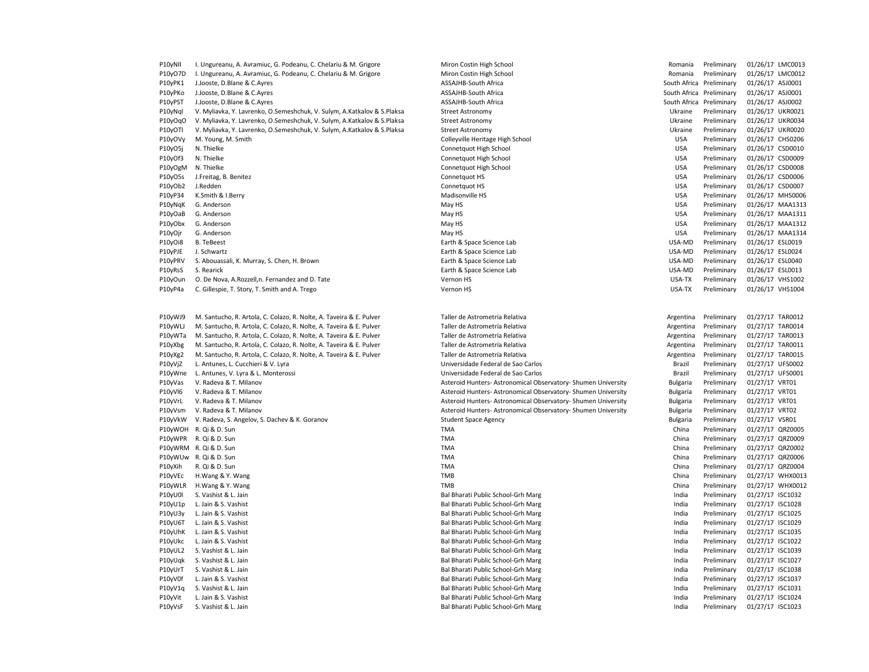| P10yNII | I. Ungureanu, A. Avramiuc, G. Podeanu, C. Chelariu & M. Grigore         | Miron Costin High School                                      | Romania                  | Preliminary | 01/26/17 LMC0013 |
|---------|-------------------------------------------------------------------------|---------------------------------------------------------------|--------------------------|-------------|------------------|
| P10yO7D | I. Ungureanu, A. Avramiuc, G. Podeanu, C. Chelariu & M. Grigore         | Miron Costin High School                                      | Romania                  | Preliminary | 01/26/17 LMC0012 |
| P10yPK1 | J.Jooste, D.Blane & C.Ayres                                             | ASSAJHB-South Africa                                          | South Africa Preliminary |             | 01/26/17 ASJ0001 |
| P10yPKo | J.Jooste, D.Blane & C.Ayres                                             | ASSAJHB-South Africa                                          | South Africa Preliminary |             | 01/26/17 ASJ0001 |
| P10yPST | J.Jooste, D.Blane & C.Ayres                                             | ASSAJHB-South Africa                                          | South Africa Preliminary |             | 01/26/17 ASJ0002 |
| P10yNql | V. Myliavka, Y. Lavrenko, O.Semeshchuk, V. Sulym, A.Katkalov & S.Plaksa | <b>Street Astronomy</b>                                       | Ukraine                  | Preliminary | 01/26/17 UKR0021 |
| P10yOqO | V. Myliavka, Y. Lavrenko, O.Semeshchuk, V. Sulym, A.Katkalov & S.Plaksa | <b>Street Astronomy</b>                                       | Ukraine                  | Preliminary | 01/26/17 UKR0034 |
| P10yOTI | V. Myliavka, Y. Lavrenko, O.Semeshchuk, V. Sulym, A.Katkalov & S.Plaksa | <b>Street Astronomy</b>                                       | Ukraine                  | Preliminary | 01/26/17 UKR0020 |
| P10yOVy | M. Young, M. Smith                                                      | Colleyville Heritage High School                              | <b>USA</b>               | Preliminary | 01/26/17 CHS0206 |
| P10yO5j | N. Thielke                                                              | Connetquot High School                                        | <b>USA</b>               | Preliminary | 01/26/17 CSD0010 |
| P10yOf3 | N. Thielke                                                              | Connetquot High School                                        | <b>USA</b>               | Preliminary | 01/26/17 CSD0009 |
|         | N. Thielke                                                              |                                                               | <b>USA</b>               | Preliminary |                  |
| P10yOgM |                                                                         | Connetquot High School                                        |                          |             | 01/26/17 CSD0008 |
| P10yO5s | J.Freitag, B. Benitez                                                   | Connetquot HS                                                 | <b>USA</b>               | Preliminary | 01/26/17 CSD0006 |
| P10yOb2 | J.Redden                                                                | Connetquot HS                                                 | <b>USA</b>               | Preliminary | 01/26/17 CSD0007 |
| P10yP34 | K.Smith & I.Berry                                                       | Madisonville HS                                               | <b>USA</b>               | Preliminary | 01/26/17 MHS0006 |
| P10yNqK | G. Anderson                                                             | May HS                                                        | <b>USA</b>               | Preliminary | 01/26/17 MAA1313 |
| P10yOaB | G. Anderson                                                             | May HS                                                        | <b>USA</b>               | Preliminary | 01/26/17 MAA1311 |
| P10yObx | G. Anderson                                                             | May HS                                                        | <b>USA</b>               | Preliminary | 01/26/17 MAA1312 |
| P10yOjr | G. Anderson                                                             | May HS                                                        | <b>USA</b>               | Preliminary | 01/26/17 MAA1314 |
| P10yOi8 | <b>B.</b> TeBeest                                                       | Earth & Space Science Lab                                     | USA-MD                   | Preliminary | 01/26/17 ESL0019 |
| P10yPJE | J. Schwartz                                                             | Earth & Space Science Lab                                     | USA-MD                   | Preliminary | 01/26/17 ESL0024 |
| P10yPRV | S. Abouassali, K. Murray, S. Chen, H. Brown                             | Earth & Space Science Lab                                     | USA-MD                   | Preliminary | 01/26/17 ESL0040 |
| P10yRsS | S. Rearick                                                              | Earth & Space Science Lab                                     | USA-MD                   | Preliminary | 01/26/17 ESL0013 |
| P10yOun | O. De Nova, A.Rozzell,n. Fernandez and D. Tate                          | Vernon HS                                                     | USA-TX                   | Preliminary | 01/26/17 VHS1002 |
| P10yP4a | C. Gillespie, T. Story, T. Smith and A. Trego                           | Vernon HS                                                     | USA-TX                   | Preliminary | 01/26/17 VHS1004 |
|         |                                                                         |                                                               |                          |             |                  |
| P10yWJ9 | M. Santucho, R. Artola, C. Colazo, R. Nolte, A. Taveira & E. Pulver     | Taller de Astrometría Relativa                                | Argentina                | Preliminary | 01/27/17 TAR0012 |
| P10yWLJ | M. Santucho, R. Artola, C. Colazo, R. Nolte, A. Taveira & E. Pulver     | Taller de Astrometría Relativa                                | Argentina                | Preliminary | 01/27/17 TAR0014 |
| P10yWTa | M. Santucho, R. Artola, C. Colazo, R. Nolte, A. Taveira & E. Pulver     | Taller de Astrometría Relativa                                | Argentina                | Preliminary | 01/27/17 TAR0013 |
| P10yXbg | M. Santucho, R. Artola, C. Colazo, R. Nolte, A. Taveira & E. Pulver     | Taller de Astrometría Relativa                                | Argentina                | Preliminary | 01/27/17 TAR0011 |
| P10yXg2 | M. Santucho, R. Artola, C. Colazo, R. Nolte, A. Taveira & E. Pulver     | Taller de Astrometría Relativa                                | Argentina                | Preliminary | 01/27/17 TAR0015 |
| P10yVjZ | L. Antunes, L. Cucchieri & V. Lyra                                      | Universidade Federal de Sao Carlos                            | Brazil                   | Preliminary | 01/27/17 UFS0002 |
| P10yWne | L. Antunes, V. Lyra & L. Monterossi                                     | Universidade Federal de Sao Carlos                            | Brazil                   | Preliminary | 01/27/17 UFS0001 |
|         |                                                                         |                                                               |                          | Preliminary |                  |
| P10yVas | V. Radeva & T. Milanov                                                  | Asteroid Hunters- Astronomical Observatory- Shumen University | Bulgaria                 |             | 01/27/17 VRT01   |
| P10yVI6 | V. Radeva & T. Milanov                                                  | Asteroid Hunters- Astronomical Observatory- Shumen University | Bulgaria                 | Preliminary | 01/27/17 VRT01   |
| P10yVrL | V. Radeva & T. Milanov                                                  | Asteroid Hunters- Astronomical Observatory- Shumen University | Bulgaria                 | Preliminary | 01/27/17 VRT01   |
| P10yVsm | V. Radeva & T. Milanov                                                  | Asteroid Hunters- Astronomical Observatory- Shumen University | Bulgaria                 | Preliminary | 01/27/17 VRT02   |
| P10yVkW | V. Radeva, S. Angelov, S. Dachev & K. Goranov                           | <b>Student Space Agency</b>                                   | Bulgaria                 | Preliminary | 01/27/17 VSR01   |
|         | P10yWOH R. Qi & D. Sun                                                  | <b>TMA</b>                                                    | China                    | Preliminary | 01/27/17 QRZ0005 |
| P10yWPR | R. Qi & D. Sun                                                          | <b>TMA</b>                                                    | China                    | Preliminary | 01/27/17 QRZ0009 |
|         | P10yWRM R. Qi & D. Sun                                                  | <b>TMA</b>                                                    | China                    | Preliminary | 01/27/17 QRZ0002 |
|         | P10yWUw R. Qi & D. Sun                                                  | <b>TMA</b>                                                    | China                    | Preliminary | 01/27/17 QRZ0006 |
| P10yXih | R. Qi & D. Sun                                                          | <b>TMA</b>                                                    | China                    | Preliminary | 01/27/17 QRZ0004 |
| P10yVEc | H.Wang & Y. Wang                                                        | <b>TMB</b>                                                    | China                    | Preliminary | 01/27/17 WHX0013 |
| P10yWLR | H. Wang & Y. Wang                                                       | <b>TMB</b>                                                    | China                    | Preliminary | 01/27/17 WHX0012 |
| P10yU0l | S. Vashist & L. Jain                                                    | Bal Bharati Public School-Grh Marg                            | India                    | Preliminary | 01/27/17 ISC1032 |
| P10yU1p | L. Jain & S. Vashist                                                    | Bal Bharati Public School-Grh Marg                            | India                    | Preliminary | 01/27/17 ISC1028 |
| P10yU3y | L. Jain & S. Vashist                                                    | Bal Bharati Public School-Grh Marg                            | India                    | Preliminary | 01/27/17 ISC1025 |
| P10yU6T | L. Jain & S. Vashist                                                    | Bal Bharati Public School-Grh Marg                            | India                    | Preliminary | 01/27/17 ISC1029 |
| P10yUhK | L. Jain & S. Vashist                                                    | Bal Bharati Public School-Grh Marg                            | India                    | Preliminary | 01/27/17 ISC1035 |
| P10yUkc | L. Jain & S. Vashist                                                    | Bal Bharati Public School-Grh Marg                            | India                    | Preliminary | 01/27/17 ISC1022 |
| P10yUL2 | S. Vashist & L. Jain                                                    | Bal Bharati Public School-Grh Marg                            | India                    | Preliminary | 01/27/17 ISC1039 |
| P10yUqk | S. Vashist & L. Jain                                                    |                                                               | India                    | Preliminary | 01/27/17 ISC1027 |
|         |                                                                         | Bal Bharati Public School-Grh Marg                            |                          |             |                  |
| P10yUrT | S. Vashist & L. Jain                                                    | Bal Bharati Public School-Grh Marg                            | India                    | Preliminary | 01/27/17 ISC1038 |
| P10yV0f | L. Jain & S. Vashist                                                    | Bal Bharati Public School-Grh Marg                            | India                    | Preliminary | 01/27/17 ISC1037 |
| P10yV1q | S. Vashist & L. Jain                                                    | Bal Bharati Public School-Grh Marg                            | India                    | Preliminary | 01/27/17 ISC1031 |
| P10yVit | L. Jain & S. Vashist                                                    | Bal Bharati Public School-Grh Marg                            | India                    | Preliminary | 01/27/17 ISC1024 |
| P10yVsF | S. Vashist & L. Jain                                                    | Bal Bharati Public School-Grh Marg                            | India                    | Preliminary | 01/27/17 ISC1023 |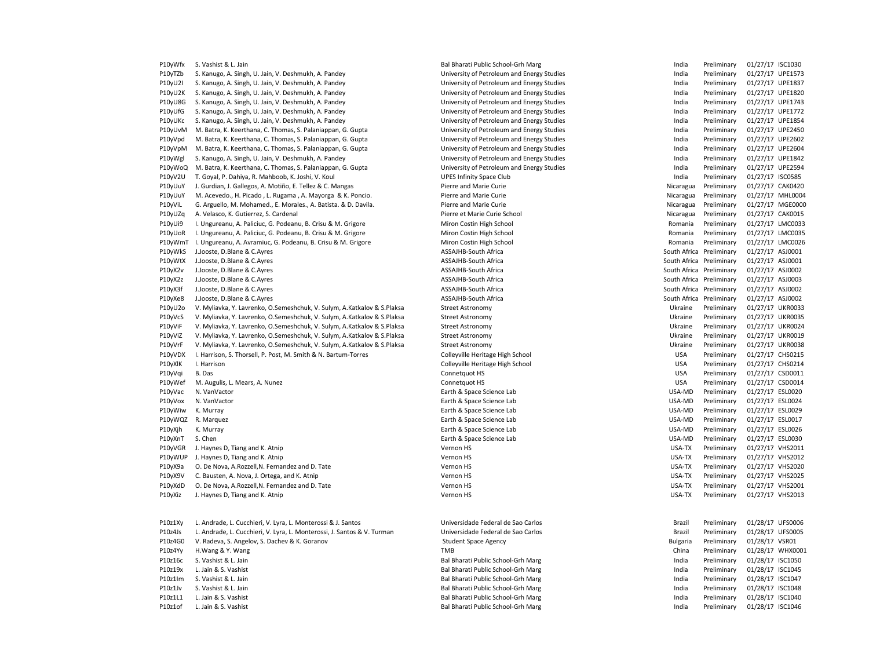P10yWfx S. Vashist & L. Jain and March 1999 and Bharati Public School-Grh Marg India Preliminary 01/27/17 ISC1030 P10yTZb S. Kanugo, A. Singh, U. Jain, V. Deshmukh, A. Pandey University of Petroleum and Energy Studies India Preliminary 01/27/17 UPE1573 P10yU2I S. Kanugo, A. Singh, U. Jain, V. Deshmukh, A. Pandey University of Petroleum and Energy Studies India Preliminary 01/27/17 UPE1837 P10yU2K S. Kanugo, A. Singh, U. Jain, V. Deshmukh, A. Pandey **Interprential Computers** University of Petroleum and Energy Studies India Preliminary 01/27/17 UPE1820 P10yU8G S. Kanugo, A. Singh, U. Jain, V. Deshmukh, A. Pandey entergy enter and Energy Studies and Energy Studies and Energy Studies and Energy Studies and Energy Studies and Energy Studies and Energy Studies and Energy Stu P10yUfG S. Kanugo, A. Singh, U. Jain, V. Deshmukh, A. Pandey **Statem And Energy Studies** Pretroleum and Energy Studies India Preliminary 01/27/17 UPE1772 P10yUKc S. Kanugo, A. Singh, U. Jain, V. Deshmukh, A. Pandey University of Petroleum and Energy Studies India Preliminary 01/27/17 UPE1854 P10yUvM M. Batra, K. Keerthana, C. Thomas, S. Palaniappan, G. Gupta University of Petroleum and Energy Studies Computers and Energy Studies India Preliminary 01/27/17 UPE2450 P10yVpd M. Batra, K. Keerthana, C. Thomas, S. Palaniappan, G. Gupta University of Petroleum and Energy Studies India Preliminary 01/27/17 UPE2602 P10yVpM M. Batra, K. Keerthana, C. Thomas, S. Palaniappan, G. Gupta University of Petroleum and Energy Studies India Preliminary 01/27/17 UPE2604 P10yWgl S. Kanugo, A. Singh, U. Jain, V. Deshmukh, A. Pandey entergy enter and Energy Studies and Energy Studies and Energy Studies and Energy Studies and Energy Studies and Energy Studies and Energy Studies and Energy Stu P10yWoQ M. Batra, K. Keerthana, C. Thomas, S. Palaniappan, G. Gupta University of Petroleum and Energy Studies India Preliminary 01/27/17 UPE2594 P10yV2U T. Goyal, P. Dahiya, R. Mahboob, K. Joshi, V. Koul UPES Infinity Space Club India Preliminary 01/27/17 ISC0585 P10yUuY J. Gurdian, J. Gallegos, A. Motiño, E. Tellez & C. Mangas Pierre and Marie Curie Preliminary Preliminary Preliminary 01/27/17 CAK0420 P10yUuY M. Acevedo., H. Picado , L. Rugama , A. Mayorga & K. Poncio. Pierre and Marie Curie Preliminary Nicaragua Preliminary 01/27/17 MHL0004 P10yViL G. Arguello, M. Mohamed., E. Morales., A. Batista. & D. Davila. Phierre and Marie Curie Preminary Marie Curie Nicaragua Preliminary 01/27/17 MGE0000 P10yUZq A. Velasco, K. Gutierrez, S. Cardenal Pierre et Marie Curie School Nicaragua Preliminary 01/27/17 CAK0015 P10yUi9 I. Ungureanu, A. Paliciuc, G. Podeanu, B. Crisu & M. Grigore Miron Costin High School **Prelimina Preliminary 01/27/17 LMC0033** P10yUoR I. Ungureanu, A. Paliciuc, G. Podeanu, B. Crisu & M. Grigore Miron Costin High School Preliminary Romania Preliminary 01/27/17 LMC0035 P10yWmT I. Ungureanu, A. Avramiuc, G. Podeanu, B. Crisu & M. Grigore Miron Costin High School Romania Preliminary 01/27/17 LMC0026 P10yWkS J.Jooste, D.Blane & C.Ayres **ASSAJHB-South Africa** ASSAJHB-South Africa **South Africa** Preliminary 01/27/17 ASJ0001 P10yWtX J.Jooste, D.Blane & C.Ayres entitled assemblance of the SSAJHB-South Africa Artica Couth Africa Preliminary 01/27/17 ASJ0001 P10yX2v J.Jooste, D.Blane & C.Ayres **ASSAJHB-South Africa** ASSAJHB-South Africa South Africa Preliminary 01/27/17 ASJ0002 P10yX2z J.Jooste, D.Blane & C.Ayres **ASSAJHB-South Africa** ASSAJHB-South Africa South Africa Preliminary 01/27/17 ASJ0003 P10yX3f J.Jooste, D.Blane & C.Ayres entitled assemblance of the SSAJHB-South Africa Artica Couth Africa Preliminary 01/27/17 ASJ0002 P10yXe8 J.Jooste, D.Blane & C.Ayres **ASSAJHB-South Africa** ASSAJHB-South Africa South Africa Preliminary 01/27/17 ASJ0002 P10yU2o V. Myliavka, Y. Lavrenko, O.Semeshchuk, V. Sulym, A.Katkalov & S.Plaksa Street Astronomy Ukraine Preliminary 01/27/17 UKR0033 P10yVcS V. Myliavka, Y. Lavrenko, O.Semeshchuk, V. Sulym, A.Katkalov & S.Plaksa Street Astronomy Ukraine Preliminary 01/27/17 UKR0035 P10yViF V. Myliavka, Y. Lavrenko, O.Semeshchuk, V. Sulym, A.Katkalov & S.Plaksa Street Astronomy Ukraine Preliminary 01/27/17 UKR0024 P10yViZ V. Myliavka, Y. Lavrenko, O.Semeshchuk, V. Sulym, A.Katkalov & S.Plaksa Street Astronomy Ukraine Preliminary 01/27/17 UKR0019 P10yVrF V. Myliavka, Y. Lavrenko, O.Semeshchuk, V. Sulym, A.Katkalov & S.Plaksa Street Astronomy Ukraine Preliminary 01/27/17 UKR0038 P10yVDX I. Harrison, S. Thorsell, P. Post, M. Smith & N. Bartum-Torres Colleyville Heritage High School Colleyville Heritage High School USA Preliminary 01/27/17 CHS0215 P10yXlK I. Harrison **Example 2012/17 CHSO214** Colleyville Heritage High School **Colleyville Heritage High School** USA Preliminary 01/27/17 CHS0214 P10yVqi B. Das Connetquot HS USA Preliminary 01/27/17 CSD0011 P10yWef M. Augulis, L. Mears, A. Nunez **Connetguot HS** Connetquot HS Connetguot HS USA Preliminary 01/27/17 CSD0014 P10yVac N. VanVactor Earth & Space Science Lab USA-MD Preliminary 01/27/17 ESL0020 P10yVox N. VanVactor entropy and the Space Science Lab Earth & Space Science Lab USA-MD Preliminary 01/27/17 ESL0024 P10yWiw K. Murray Earth & Space Science Lab USA-MD Preliminary 01/27/17 ESL0029 P10yWQZ R. Marquez en extension of the Space Science Lab Earth & Space Science Lab USA-MD Preliminary 01/27/17 ESL0017 P10yXjh K. Murray Earth & Space Science Lab USA-MD Preliminary 01/27/17 ESL0026 P10yXnT S. Chen Earth & Space Science Lab USA-MD Preliminary 01/27/17 ESL0030 P10yVGR J. Haynes D, Tiang and K. Atnip Vernon HS Vernon HS Vernon HS Vernon HS USA-TX Preliminary 01/27/17 VHS2011 P10yWUP J. Haynes D, Tiang and K. Atnip Wernon HS Vernon HS Vernon HS Vernon HS USA-TX Preliminary 01/27/17 VHS2012 P10yX9a O. De Nova, A.Rozzell,N. Fernandez and D. Tate Vernon HS Vernon HS Vernon HS USA-TX Preliminary 01/27/17 VHS2020 P10yX9V C. Bausten, A. Nova, J. Ortega, and K. Atnip Vernon HS Vernon HS Vernon HS USA-TX Preliminary 01/27/17 VHS2025 P10yXdD O. De Nova, A.Rozzell,N. Fernandez and D. Tate Vernon HS USA-TX Preliminary 01/27/17 VHS2001 P10yXiz J. Haynes D, Tiang and K. Atnip Nissan Marchael Steven Marchael Vernon HS Vernon HS Vernon HS Vernon HS Vernon HS Vernon HS Vernon HS Vernon HS Vernon HS Vernon HS Vernon HS Vernon HS Vernon HS Vernon HS Vernon HS P10z1Xy L. Andrade, L. Cucchieri, V. Lyra, L. Monterossi & J. Santos Universidade Federal de Sao Carlos Brazil Preliminary 01/28/17 UFS0006 P10z4Js L. Andrade, L. Cucchieri, V. Lyra, L. Monterossi, J. Santos & V. Turman Universidade Federal de Sao Carlos **Brazil Preliminary 01/28/17 UFS0005** P10z4G0 V. Radeva, S. Angelov, S. Dachev & K. Goranov Student Space Agency Student Space Agency Student Space Agency Student Space Agency Student Space Agency Student Space Agency Student Space Agency Student Space Agency P10z4Yy H.Wang & Y.Wang external and the state of the state of the TMB china Preliminary 01/28/17 WHX0001 P10z16c S. Vashist & L. Jain Sand Bal Bharati Public School-Grh Marg School-Grh Marg India Preliminary 01/28/17 ISC1050 P10z19x L. Jain & S. Vashist Contract Contract Bal Bharati Public School-Grh Marg Contract Public School-Grh Marg India Preliminary 01/28/17 ISC1045 P10z1Im S. Vashist & L. Jain Sand Bal Bharati Public School-Grh Marg Communic School-Grh Marg India Preliminary 01/28/17 ISC1047

P10z1Jv S. Vashist & L. Jain et al. Dai Bharati Public School-Grh Marg and the School-Grh Marg Company 191/28/17 ISC1048 P10z1L1 L. Jain & S. Vashist Casar Casar Bal Bharati Public School-Grh Marg Casar Lindia Preliminary 01/28/17 ISC1040 P10z1of L. Jain & S. Vashist et al. And the School-Grh Marg Communic School-Grh Marg India Preliminary 01/28/17 ISC1046